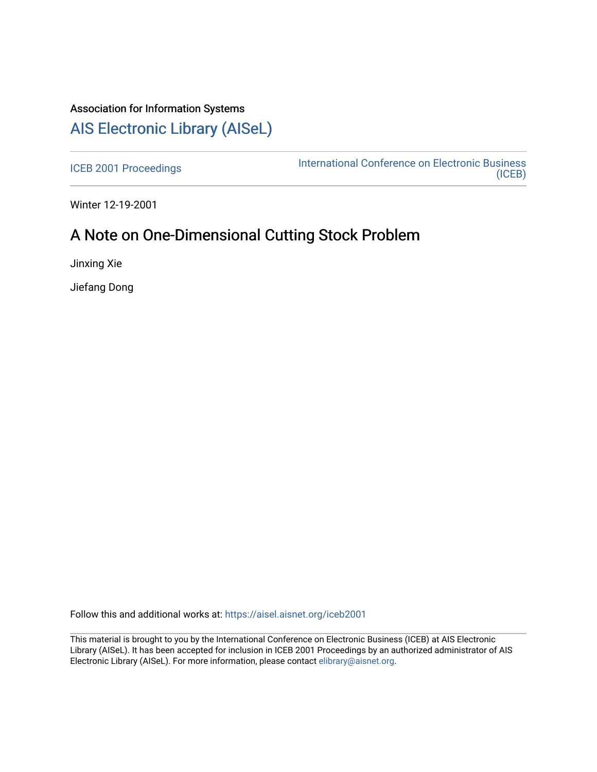# Association for Information Systems [AIS Electronic Library \(AISeL\)](https://aisel.aisnet.org/)

[ICEB 2001 Proceedings](https://aisel.aisnet.org/iceb2001) **International Conference on Electronic Business** [\(ICEB\)](https://aisel.aisnet.org/iceb) 

Winter 12-19-2001

# A Note on One-Dimensional Cutting Stock Problem

Jinxing Xie

Jiefang Dong

Follow this and additional works at: [https://aisel.aisnet.org/iceb2001](https://aisel.aisnet.org/iceb2001?utm_source=aisel.aisnet.org%2Ficeb2001%2F146&utm_medium=PDF&utm_campaign=PDFCoverPages)

This material is brought to you by the International Conference on Electronic Business (ICEB) at AIS Electronic Library (AISeL). It has been accepted for inclusion in ICEB 2001 Proceedings by an authorized administrator of AIS Electronic Library (AISeL). For more information, please contact [elibrary@aisnet.org.](mailto:elibrary@aisnet.org%3E)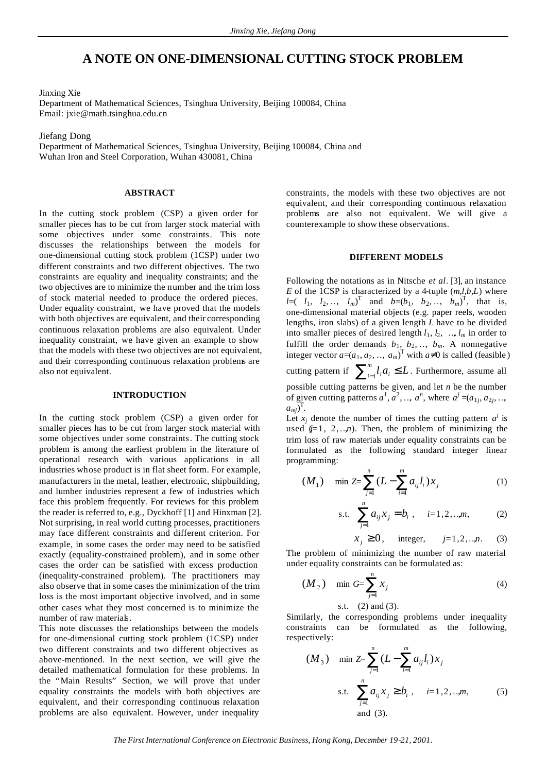## **A NOTE ON ONE-DIMENSIONAL CUTTING STOCK PROBLEM**

Jinxing Xie

Department of Mathematical Sciences, Tsinghua University, Beijing 100084, China Email: jxie@math.tsinghua.edu.cn

Jiefang Dong

Department of Mathematical Sciences, Tsinghua University, Beijing 100084, China and Wuhan Iron and Steel Corporation, Wuhan 430081, China

### **ABSTRACT**

In the cutting stock problem (CSP) a given order for smaller pieces has to be cut from larger stock material with some objectives under some constraints. This note discusses the relationships between the models for one-dimensional cutting stock problem (1CSP) under two different constraints and two different objectives. The two constraints are equality and inequality constraints; and the two objectives are to minimize the number and the trim loss of stock material needed to produce the ordered pieces. Under equality constraint, we have proved that the models with both objectives are equivalent, and their corresponding continuous relaxation problems are also equivalent. Under inequality constraint, we have given an example to show that the models with these two objectives are not equivalent, and their corresponding continuous relaxation problems are also not equivalent.

#### **INTRODUCTION**

In the cutting stock problem (CSP) a given order for smaller pieces has to be cut from larger stock material with some objectives under some constraints. The cutting stock problem is among the earliest problem in the literature of operational research with various applications in all industries whose product is in flat sheet form. For example, manufacturers in the metal, leather, electronic, shipbuilding, and lumber industries represent a few of industries which face this problem frequently. For reviews for this problem the reader is referred to, e.g., Dyckhoff [1] and Hinxman [2]. Not surprising, in real world cutting processes, practitioners may face different constraints and different criterion. For example, in some cases the order may need to be satisfied exactly (equality-constrained problem), and in some other cases the order can be satisfied with excess production (inequality-constrained problem). The practitioners may also observe that in some cases the minimization of the trim loss is the most important objective involved, and in some other cases what they most concerned is to minimize the number of raw materials.

This note discusses the relationships between the models for one-dimensional cutting stock problem (1CSP) under two different constraints and two different objectives as above-mentioned. In the next section, we will give the detailed mathematical formulation for these problems. In the "Main Results" Section, we will prove that under equality constraints the models with both objectives are equivalent, and their corresponding continuous relaxation problems are also equivalent. However, under inequality

constraints, the models with these two objectives are not equivalent, and their corresponding continuous relaxation problems are also not equivalent. We will give a counterexample to show these observations.

#### **DIFFERENT MODELS**

Following the notations as in Nitsche *et al*. [3], an instance *E* of the 1CSP is characterized by a 4-tuple  $(m,l,b,L)$  where *l*=(*l*<sub>1</sub>, *l*<sub>2</sub>,…, *l*<sub>*m*</sub>)<sup>T</sup> and *b*=(*b*<sub>1</sub>, *b*<sub>2</sub>,…, *b*<sub>*m*</sub>)<sup>T</sup>, that is, one-dimensional material objects (e.g. paper reels, wooden lengths, iron slabs) of a given length *L* have to be divided into smaller pieces of desired length  $l_1$ ,  $l_2$ , ...,  $l_m$  in order to fulfill the order demands  $b_1$ ,  $b_2$ , ...,  $b_m$ . A nonnegative integer vector  $a=(a_1, a_2, \dots, a_m)^T$  with  $a\neq 0$  is called (feasible) cutting pattern if  $\sum_{i=1}^{m} l_i a_i \leq$  $\int_{i=1}^{m} l_i a_i \leq L$ . Furthermore, assume all possible cutting patterns be given, and let *n* be the number of given cutting patterns  $a^1$ ,  $a^2$ , ...,  $a^n$ , where  $a^j = (a_{1j}, a_{2j}, \ldots, a_{nj})$  $a_{mj}$ <sup>T</sup>.

Let  $x_j$  denote the number of times the cutting pattern  $a^j$  is used  $(j=1, 2, \ldots, n)$ . Then, the problem of minimizing the trim loss of raw materials under equality constraints can be formulated as the following standard integer linear programming:

$$
(M_1) \quad \min Z = \sum_{j=1}^n (L - \sum_{i=1}^m a_{ij} l_i) x_j \tag{1}
$$

s.t. 
$$
\sum_{j=1}^{n} a_{ij} x_j = b_i, \quad i=1,2,...,m,
$$
 (2)

$$
x_j \ge 0, \quad \text{integer}, \quad j=1,2,..,n. \tag{3}
$$

The problem of minimizing the number of raw material under equality constraints can be formulated as:

$$
(M_2) \quad \min G = \sum_{j=1}^{n} x_j \tag{4}
$$

s.t. (2) and (3).

Similarly, the corresponding problems under inequality constraints can be formulated as the following, respectively:

$$
(M_3) \quad \min \mathbb{Z} = \sum_{j=1}^{n} (L - \sum_{i=1}^{m} a_{ij} l_i) x_j
$$
  
s.t. 
$$
\sum_{j=1}^{n} a_{ij} x_j \ge b_i, \quad i = 1, 2, ..., m,
$$
 (5)  
and (3).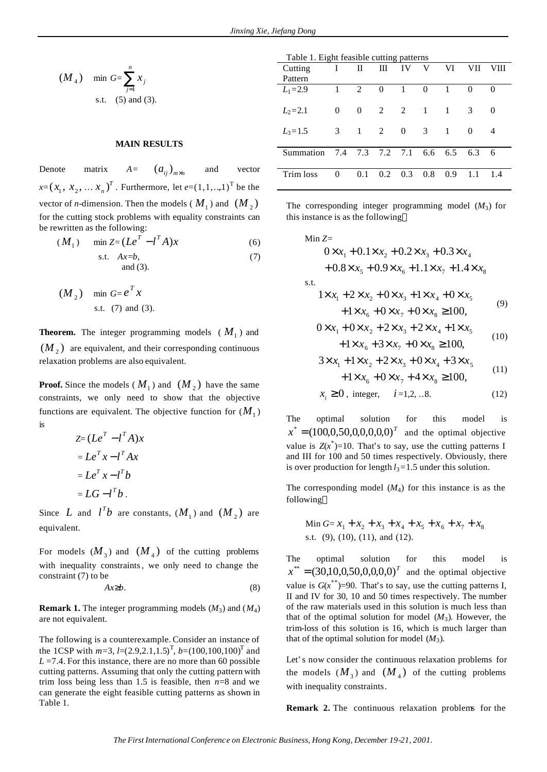$$
(M_4)
$$
 min  $G = \sum_{j=1}^{n} x_j$   
s.t. (5) and (3).

#### **MAIN RESULTS**

Denote matrix  $A = (a_{ij})_{m \times n}$  and vector  $x=(x_1, x_2, \ldots x_n)^T$  $(x_n)^T$ . Furthermore, let  $e=(1,1,...,1)^T$  be the vector of *n*-dimension. Then the models ( $M_1$ ) and  $(M_2)$ for the cutting stock problems with equality constraints can be rewritten as the following:

$$
(M_1) \quad \min Z = (Le^T - l^T A)x \tag{6}
$$

$$
\text{s.t.} \quad Ax = b, \quad \text{(7)} \\ \text{and (3).}
$$

$$
(M2) \text{ min } G = eT x
$$
  
s.t. (7) and (3).

**Theorem.** The integer programming models  $(M_1)$  and  $(M<sub>2</sub>)$  are equivalent, and their corresponding continuous relaxation problems are also equivalent.

**Proof.** Since the models  $(M_1)$  and  $(M_2)$  have the same constraints, we only need to show that the objective functions are equivalent. The objective function for  $(M_1)$ is

$$
Z = (LeT - lT A)x
$$

$$
= LeT x - lT Ax
$$

$$
= LeT x - lT b
$$

$$
= LG - lT b.
$$

Since *L* and  $l^Tb$  are constants,  $(M_1)$  and  $(M_2)$  are equivalent.

For models  $(M_3)$  and  $(M_4)$  of the cutting problems with inequality constraints, we only need to change the constraint (7) to be

$$
Ax \geq b. \tag{8}
$$

**Remark 1.** The integer programming models (*M*3) and (*M*4) are not equivalent.

The following is a counterexample. Consider an instance of the 1CSP with  $m=3$ ,  $l=(2.9,2.1,1.5)^T$ ,  $b=(100,100,100)^T$  and  $L = 7.4$ . For this instance, there are no more than 60 possible cutting patterns. Assuming that only the cutting pattern with trim loss being less than 1.5 is feasible, then  $n=8$  and we can generate the eight feasible cutting patterns as shown in Table 1.

| Table 1. Eight feasible cutting patterns |          |          |          |              |                |                |                               |          |
|------------------------------------------|----------|----------|----------|--------------|----------------|----------------|-------------------------------|----------|
| Cutting                                  | L        | П        | Ш        | IV           | V              | VI             | VH                            | VIII     |
| Pattern                                  |          |          |          |              |                |                |                               |          |
| $L_1 = 2.9$                              | 1        | 2        | $\theta$ | $\mathbf{1}$ | $\theta$       | $\mathbf{1}$   | 0                             | $\Omega$ |
| $L_2 = 2.1$                              | $\Omega$ | $\theta$ | 2        | 2            | $\overline{1}$ | $\mathbf{1}$   | $\mathcal{R}$                 | $\Omega$ |
| $L_3 = 1.5$                              | 3        | 1        | 2        | $\Omega$     | 3              | $\overline{1}$ | $\Omega$                      | 4        |
| Summation                                |          |          |          |              |                |                | 7.4 7.3 7.2 7.1 6.6 6.5 6.3 6 |          |
| Trim loss                                | 0        | 0.1      | 0.2      | 0.3          | 0.8            | 0.9            |                               | 1.4      |

The corresponding integer programming model  $(M_3)$  for this instance is as the following

Min Z=  
\n
$$
0 \times x_1 + 0.1 \times x_2 + 0.2 \times x_3 + 0.3 \times x_4 + 0.8 \times x_5 + 0.9 \times x_6 + 1.1 \times x_7 + 1.4 \times x_8
$$
\ns.t.  
\n
$$
1 \times x_1 + 2 \times x_2 + 0 \times x_3 + 1 \times x_4 + 0 \times x_5 + 1 \times x_6 + 0 \times x_7 + 0 \times x_8 \ge 100,
$$
\n(9)

$$
0 \times x_1 + 0 \times x_2 + 2 \times x_3 + 2 \times x_4 + 1 \times x_5 + 1 \times x_6 + 3 \times x_7 + 0 \times x_8 \ge 100,
$$
\n(10)

$$
3 \times x_1 + 1 \times x_2 + 2 \times x_3 + 0 \times x_4 + 3 \times x_5 + 1 \times x_6 + 0 \times x_7 + 4 \times x_8 \ge 100,
$$
\n(11)

$$
x_i \ge 0
$$
, integer,  $i=1,2,..8$ . (12)

The optimal solution for this model is  $x^* = (100, 0.50, 0.0, 0.0, 0)^T$  and the optimal objective value is  $Z(x^*)$ =10. That's to say, use the cutting patterns I and III for 100 and 50 times respectively. Obviously, there is over production for length  $l_3$ =1.5 under this solution.

The corresponding model  $(M_4)$  for this instance is as the following

Min 
$$
G = x_1 + x_2 + x_3 + x_4 + x_5 + x_6 + x_7 + x_8
$$
  
s.t. (9), (10), (11), and (12).

The optimal solution for this model is  $x^{**} = (30,10,0,50,0,0,0,0)^T$  and the optimal objective value is  $G(x^{**})$ =90. That's to say, use the cutting patterns I, II and IV for 30, 10 and 50 times respectively. The number of the raw materials used in this solution is much less than that of the optimal solution for model  $(M_3)$ . However, the trim-loss of this solution is 16, which is much larger than that of the optimal solution for model  $(M_3)$ .

Let's now consider the continuous relaxation problems for the models  $(M_3)$  and  $(M_4)$  of the cutting problems with inequality constraints.

**Remark 2.** The continuous relaxation problems for the